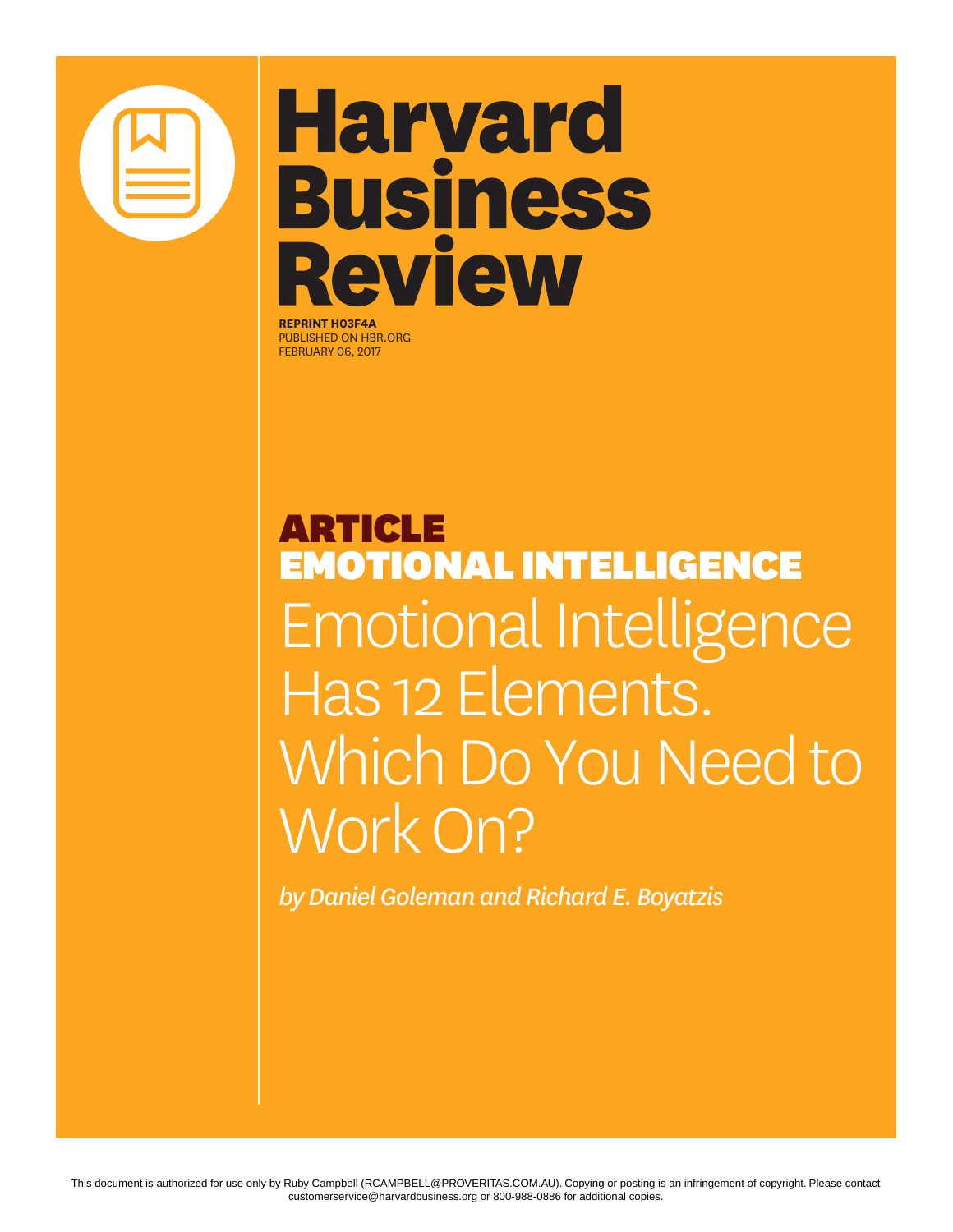

## **Harvard Business** Review

**REPRINT H03F4A** PUBLISHED ON HBR.ORG FEBRUARY 06, 2017

ARTICLE EMOTIONAL INTELLIGENCE Emotional Intelligence Has 12 Elements. Which Do You Need to Work On?

*by Daniel Goleman and Richard E. Boyatzis*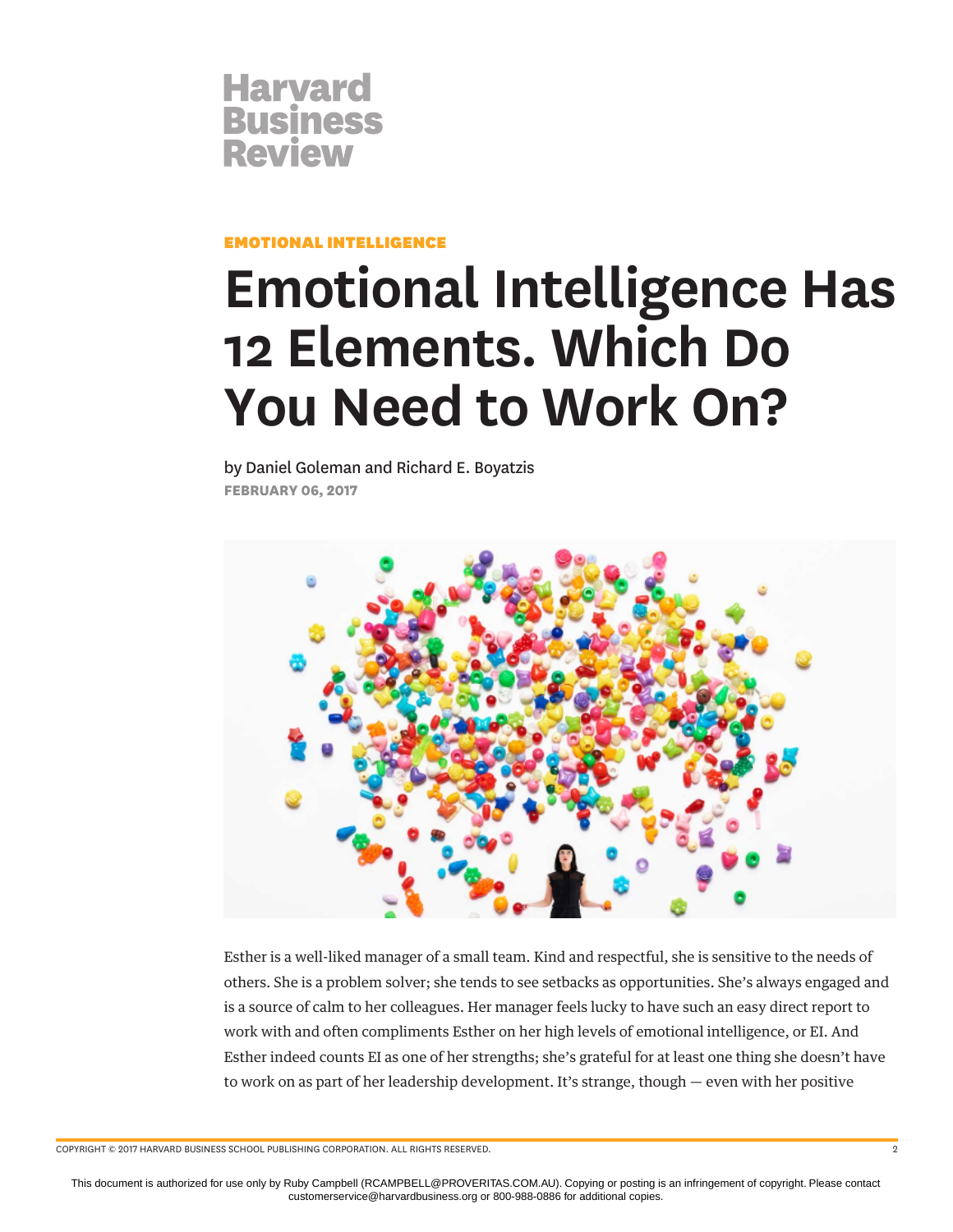

EMOTIONAL INTELLIGENCE

## **Emotional Intelligence Has 12 Elements. Which Do You Need to Work On?**

by Daniel Goleman and Richard E. Boyatzis **FEBRUARY 06, 2017**



Esther is a well-liked manager of a small team. Kind and respectful, she is sensitive to the needs of others. She is a problem solver; she tends to see setbacks as opportunities. She's always engaged and is a source of calm to her colleagues. Her manager feels lucky to have such an easy direct report to work with and often compliments Esther on her high levels of emotional intelligence, or EI. And Esther indeed counts EI as one of her strengths; she's grateful for at least one thing she doesn't have to work on as part of her leadership development. It's strange, though — even with her positive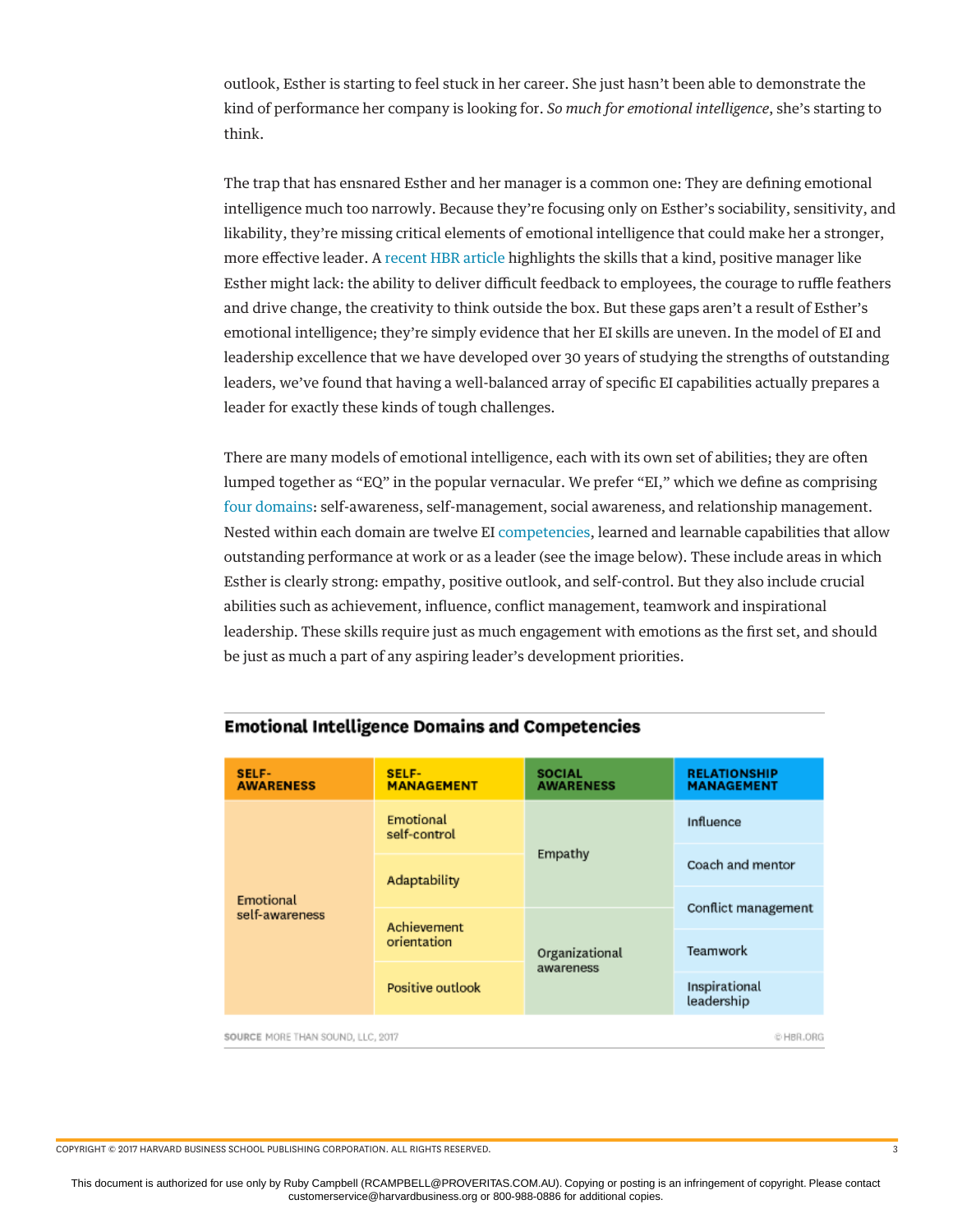outlook, Esther is starting to feel stuck in her career. She just hasn't been able to demonstrate the kind of performance her company is looking for. *So much for emotional intelligence*, she's starting to think.

The trap that has ensnared Esther and her manager is a common one: They are defining emotional intelligence much too narrowly. Because they're focusing only on Esther's sociability, sensitivity, and likability, they're missing critical elements of emotional intelligence that could make her a stronger, more effective leader. A [recent HBR article](https://hbr.org/2017/01/the-downsides-of-being-very-emotionally-intelligent) highlights the skills that a kind, positive manager like Esther might lack: the ability to deliver difficult feedback to employees, the courage to ruffle feathers and drive change, the creativity to think outside the box. But these gaps aren't a result of Esther's emotional intelligence; they're simply evidence that her EI skills are uneven. In the model of EI and leadership excellence that we have developed over 30 years of studying the strengths of outstanding leaders, we've found that having a well-balanced array of specific EI capabilities actually prepares a leader for exactly these kinds of tough challenges.

There are many models of emotional intelligence, each with its own set of abilities; they are often lumped together as "EQ" in the popular vernacular. We prefer "EI," which we define as comprising [four domains](https://hbr.org/product/primal-leadership-with-a-new-preface-by-the-authors-unleashing-the-power-of-emotional-intelligence/16558H-HBK-ENG): self-awareness, self-management, social awareness, and relationship management. Nested within each domain are twelve EI [competencies](http://morethansound.net/leadership/), learned and learnable capabilities that allow outstanding performance at work or as a leader (see the image below). These include areas in which Esther is clearly strong: empathy, positive outlook, and self-control. But they also include crucial abilities such as achievement, influence, conflict management, teamwork and inspirational leadership. These skills require just as much engagement with emotions as the first set, and should be just as much a part of any aspiring leader's development priorities.

| SELF-<br><b>AWARENESS</b>                      | <b>SELF-</b><br><b>MANAGEMENT</b> | <b>SOCIAL</b><br><b>AWARENESS</b> | <b>RELATIONSHIP</b><br><b>MANAGEMENT</b> |
|------------------------------------------------|-----------------------------------|-----------------------------------|------------------------------------------|
| Emotional<br>self-awareness                    | Emotional<br>self-control         |                                   | Influence                                |
|                                                | Adaptability                      | Empathy                           | Coach and mentor                         |
|                                                | Achievement<br>orientation        | Organizational<br>awareness       | Conflict management                      |
|                                                |                                   |                                   | Teamwork                                 |
|                                                | Positive outlook                  |                                   | Inspirational<br>leadership              |
| SOURCE MORE THAN SOUND, LLC, 2017<br>© HBR.ORG |                                   |                                   |                                          |

## **Emotional Intelligence Domains and Competencies**

SOURCE MORE THAN SOUND, LLC, 2017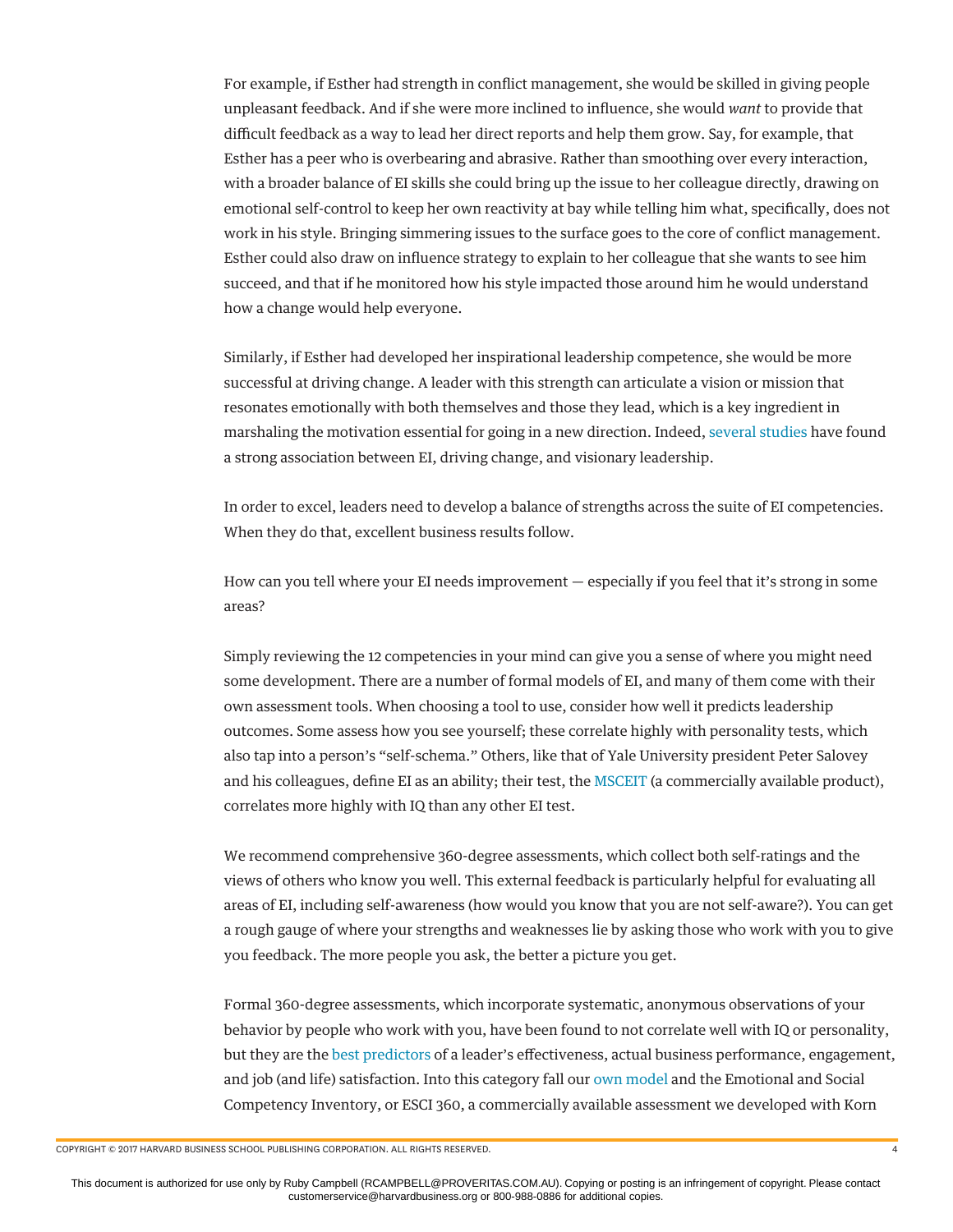For example, if Esther had strength in conflict management, she would be skilled in giving people unpleasant feedback. And if she were more inclined to influence, she would *want* to provide that difficult feedback as a way to lead her direct reports and help them grow. Say, for example, that Esther has a peer who is overbearing and abrasive. Rather than smoothing over every interaction, with a broader balance of EI skills she could bring up the issue to her colleague directly, drawing on emotional self-control to keep her own reactivity at bay while telling him what, specifically, does not work in his style. Bringing simmering issues to the surface goes to the core of conflict management. Esther could also draw on influence strategy to explain to her colleague that she wants to see him succeed, and that if he monitored how his style impacted those around him he would understand how a change would help everyone.

Similarly, if Esther had developed her inspirational leadership competence, she would be more successful at driving change. A leader with this strength can articulate a vision or mission that resonates emotionally with both themselves and those they lead, which is a key ingredient in marshaling the motivation essential for going in a new direction. Indeed, [several studies](http://psycnet.apa.org/index.cfm?fa=buy.optionToBuy&id=2016-60248-001) have found a strong association between EI, driving change, and visionary leadership.

In order to excel, leaders need to develop a balance of strengths across the suite of EI competencies. When they do that, excellent business results follow.

How can you tell where your EI needs improvement — especially if you feel that it's strong in some areas?

Simply reviewing the 12 competencies in your mind can give you a sense of where you might need some development. There are a number of formal models of EI, and many of them come with their own assessment tools. When choosing a tool to use, consider how well it predicts leadership outcomes. Some assess how you see yourself; these correlate highly with personality tests, which also tap into a person's "self-schema." Others, like that of Yale University president Peter Salovey and his colleagues, define EI as an ability; their test, the [MSCEIT](http://www.mhs.com/product.aspx?gr=IO&prod=msceit&id=overview) (a commercially available product), correlates more highly with IQ than any other EI test.

We recommend comprehensive 360-degree assessments, which collect both self-ratings and the views of others who know you well. This external feedback is particularly helpful for evaluating all areas of EI, including self-awareness (how would you know that you are not self-aware?). You can get a rough gauge of where your strengths and weaknesses lie by asking those who work with you to give you feedback. The more people you ask, the better a picture you get.

Formal 360-degree assessments, which incorporate systematic, anonymous observations of your behavior by people who work with you, have been found to not correlate well with IQ or personality, but they are the [best predictors](http://psycnet.apa.org/journals/cpb/68/4/287/) of a leader's effectiveness, actual business performance, engagement, and job (and life) satisfaction. Into this category fall our [own model](http://www.haygroup.com/leadershipandtalentondemand/ourproducts/item_details.aspx?itemid=58&type=1&t=2) and the Emotional and Social Competency Inventory, or ESCI 360, a commercially available assessment we developed with Korn